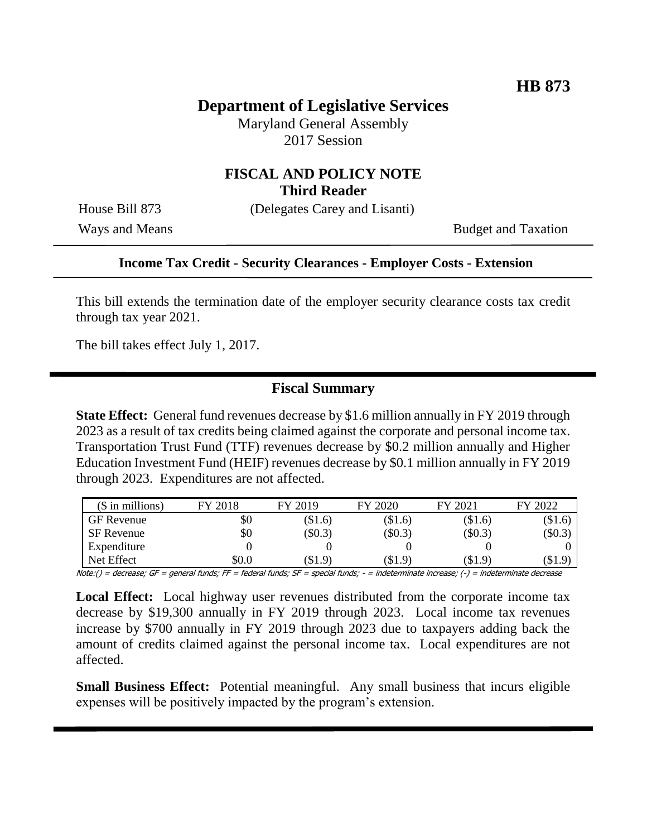## **Department of Legislative Services**

Maryland General Assembly 2017 Session

### **FISCAL AND POLICY NOTE Third Reader**

House Bill 873 (Delegates Carey and Lisanti)

Ways and Means Budget and Taxation

#### **Income Tax Credit - Security Clearances - Employer Costs - Extension**

This bill extends the termination date of the employer security clearance costs tax credit through tax year 2021.

The bill takes effect July 1, 2017.

### **Fiscal Summary**

**State Effect:** General fund revenues decrease by \$1.6 million annually in FY 2019 through 2023 as a result of tax credits being claimed against the corporate and personal income tax. Transportation Trust Fund (TTF) revenues decrease by \$0.2 million annually and Higher Education Investment Fund (HEIF) revenues decrease by \$0.1 million annually in FY 2019 through 2023. Expenditures are not affected.

| $($$ in millions)                                                                                                               | FY 2018                                   | FY 2019                                                                                                                                                                                                                                                                                                                                                                                                                                                                                          | FY 2020   | FY 2021   | FY 2022   |
|---------------------------------------------------------------------------------------------------------------------------------|-------------------------------------------|--------------------------------------------------------------------------------------------------------------------------------------------------------------------------------------------------------------------------------------------------------------------------------------------------------------------------------------------------------------------------------------------------------------------------------------------------------------------------------------------------|-----------|-----------|-----------|
| <b>GF</b> Revenue                                                                                                               | \$0                                       | $\$1.6)$                                                                                                                                                                                                                                                                                                                                                                                                                                                                                         | $(\$1.6)$ | $(\$1.6)$ | $\$1.6$   |
| SF Revenue                                                                                                                      | \$0                                       | (\$0.3)                                                                                                                                                                                                                                                                                                                                                                                                                                                                                          | $(\$0.3)$ | $(\$0.3)$ | $(\$0.3)$ |
| Expenditure                                                                                                                     |                                           |                                                                                                                                                                                                                                                                                                                                                                                                                                                                                                  |           |           |           |
| Net Effect                                                                                                                      | \$0.0                                     | (\$1.9)                                                                                                                                                                                                                                                                                                                                                                                                                                                                                          | (\$1.9)   | (\$1.9)   | (S1.9)    |
| $\mathcal{U}$ . $\mathcal{U}$ $\mathcal{U}$ $\mathcal{U}$ $\mathcal{U}$ $\mathcal{U}$ $\mathcal{U}$ $\mathcal{U}$ $\mathcal{U}$ | $\ldots$ . $\ldots$ . $\ldots$ . $\ldots$ | $\epsilon$ , $\epsilon$ , $\epsilon$ , $\epsilon$ , $\epsilon$ , $\epsilon$ , $\epsilon$ , $\epsilon$ , $\epsilon$ , $\epsilon$ , $\epsilon$ , $\epsilon$ , $\epsilon$ , $\epsilon$ , $\epsilon$ , $\epsilon$ , $\epsilon$ , $\epsilon$ , $\epsilon$ , $\epsilon$ , $\epsilon$ , $\epsilon$ , $\epsilon$ , $\epsilon$ , $\epsilon$ , $\epsilon$ , $\epsilon$ , $\epsilon$ , $\epsilon$ , $\epsilon$ , $\epsilon$ , $\epsilon$ , $\epsilon$ , $\epsilon$ , $\epsilon$ , $\epsilon$ , $\epsilon$ , |           |           |           |

Note:() = decrease; GF = general funds; FF = federal funds; SF = special funds; - = indeterminate increase; (-) = indeterminate decrease

**Local Effect:** Local highway user revenues distributed from the corporate income tax decrease by \$19,300 annually in FY 2019 through 2023. Local income tax revenues increase by \$700 annually in FY 2019 through 2023 due to taxpayers adding back the amount of credits claimed against the personal income tax. Local expenditures are not affected.

**Small Business Effect:** Potential meaningful. Any small business that incurs eligible expenses will be positively impacted by the program's extension.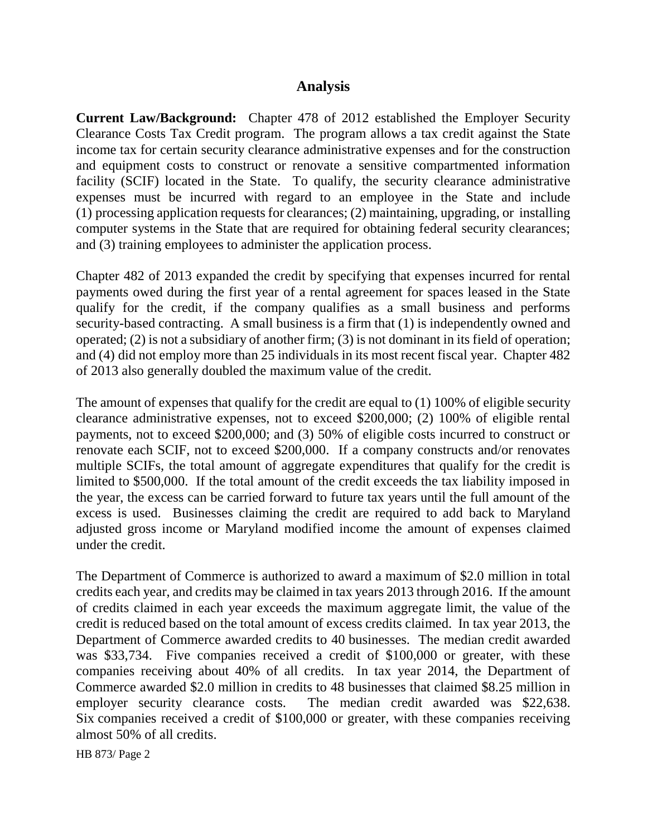## **Analysis**

**Current Law/Background:** Chapter 478 of 2012 established the Employer Security Clearance Costs Tax Credit program. The program allows a tax credit against the State income tax for certain security clearance administrative expenses and for the construction and equipment costs to construct or renovate a sensitive compartmented information facility (SCIF) located in the State. To qualify, the security clearance administrative expenses must be incurred with regard to an employee in the State and include (1) processing application requests for clearances; (2) maintaining, upgrading, or installing computer systems in the State that are required for obtaining federal security clearances; and (3) training employees to administer the application process.

Chapter 482 of 2013 expanded the credit by specifying that expenses incurred for rental payments owed during the first year of a rental agreement for spaces leased in the State qualify for the credit, if the company qualifies as a small business and performs security-based contracting. A small business is a firm that (1) is independently owned and operated; (2) is not a subsidiary of another firm; (3) is not dominant in its field of operation; and (4) did not employ more than 25 individuals in its most recent fiscal year. Chapter 482 of 2013 also generally doubled the maximum value of the credit.

The amount of expenses that qualify for the credit are equal to (1) 100% of eligible security clearance administrative expenses, not to exceed \$200,000; (2) 100% of eligible rental payments, not to exceed \$200,000; and (3) 50% of eligible costs incurred to construct or renovate each SCIF, not to exceed \$200,000. If a company constructs and/or renovates multiple SCIFs, the total amount of aggregate expenditures that qualify for the credit is limited to \$500,000. If the total amount of the credit exceeds the tax liability imposed in the year, the excess can be carried forward to future tax years until the full amount of the excess is used. Businesses claiming the credit are required to add back to Maryland adjusted gross income or Maryland modified income the amount of expenses claimed under the credit.

The Department of Commerce is authorized to award a maximum of \$2.0 million in total credits each year, and credits may be claimed in tax years 2013 through 2016. If the amount of credits claimed in each year exceeds the maximum aggregate limit, the value of the credit is reduced based on the total amount of excess credits claimed. In tax year 2013, the Department of Commerce awarded credits to 40 businesses. The median credit awarded was \$33,734. Five companies received a credit of \$100,000 or greater, with these companies receiving about 40% of all credits. In tax year 2014, the Department of Commerce awarded \$2.0 million in credits to 48 businesses that claimed \$8.25 million in employer security clearance costs. The median credit awarded was \$22,638. Six companies received a credit of \$100,000 or greater, with these companies receiving almost 50% of all credits.

HB 873/ Page 2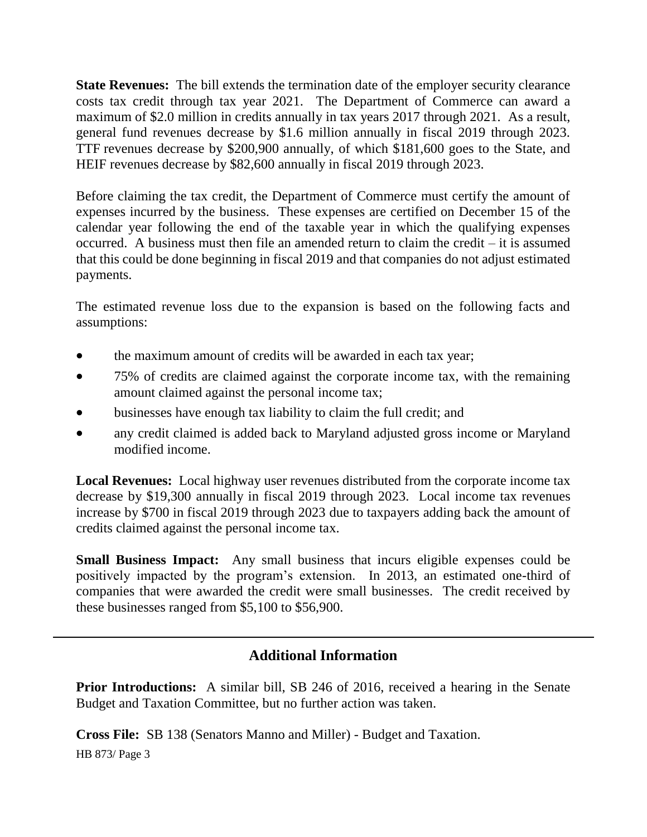**State Revenues:** The bill extends the termination date of the employer security clearance costs tax credit through tax year 2021. The Department of Commerce can award a maximum of \$2.0 million in credits annually in tax years 2017 through 2021. As a result, general fund revenues decrease by \$1.6 million annually in fiscal 2019 through 2023. TTF revenues decrease by \$200,900 annually, of which \$181,600 goes to the State, and HEIF revenues decrease by \$82,600 annually in fiscal 2019 through 2023.

Before claiming the tax credit, the Department of Commerce must certify the amount of expenses incurred by the business. These expenses are certified on December 15 of the calendar year following the end of the taxable year in which the qualifying expenses occurred. A business must then file an amended return to claim the credit – it is assumed that this could be done beginning in fiscal 2019 and that companies do not adjust estimated payments.

The estimated revenue loss due to the expansion is based on the following facts and assumptions:

- the maximum amount of credits will be awarded in each tax year;
- 75% of credits are claimed against the corporate income tax, with the remaining amount claimed against the personal income tax;
- businesses have enough tax liability to claim the full credit; and
- any credit claimed is added back to Maryland adjusted gross income or Maryland modified income.

**Local Revenues:** Local highway user revenues distributed from the corporate income tax decrease by \$19,300 annually in fiscal 2019 through 2023. Local income tax revenues increase by \$700 in fiscal 2019 through 2023 due to taxpayers adding back the amount of credits claimed against the personal income tax.

**Small Business Impact:** Any small business that incurs eligible expenses could be positively impacted by the program's extension. In 2013, an estimated one-third of companies that were awarded the credit were small businesses. The credit received by these businesses ranged from \$5,100 to \$56,900.

# **Additional Information**

**Prior Introductions:** A similar bill, SB 246 of 2016, received a hearing in the Senate Budget and Taxation Committee, but no further action was taken.

**Cross File:** SB 138 (Senators Manno and Miller) - Budget and Taxation.

HB 873/ Page 3